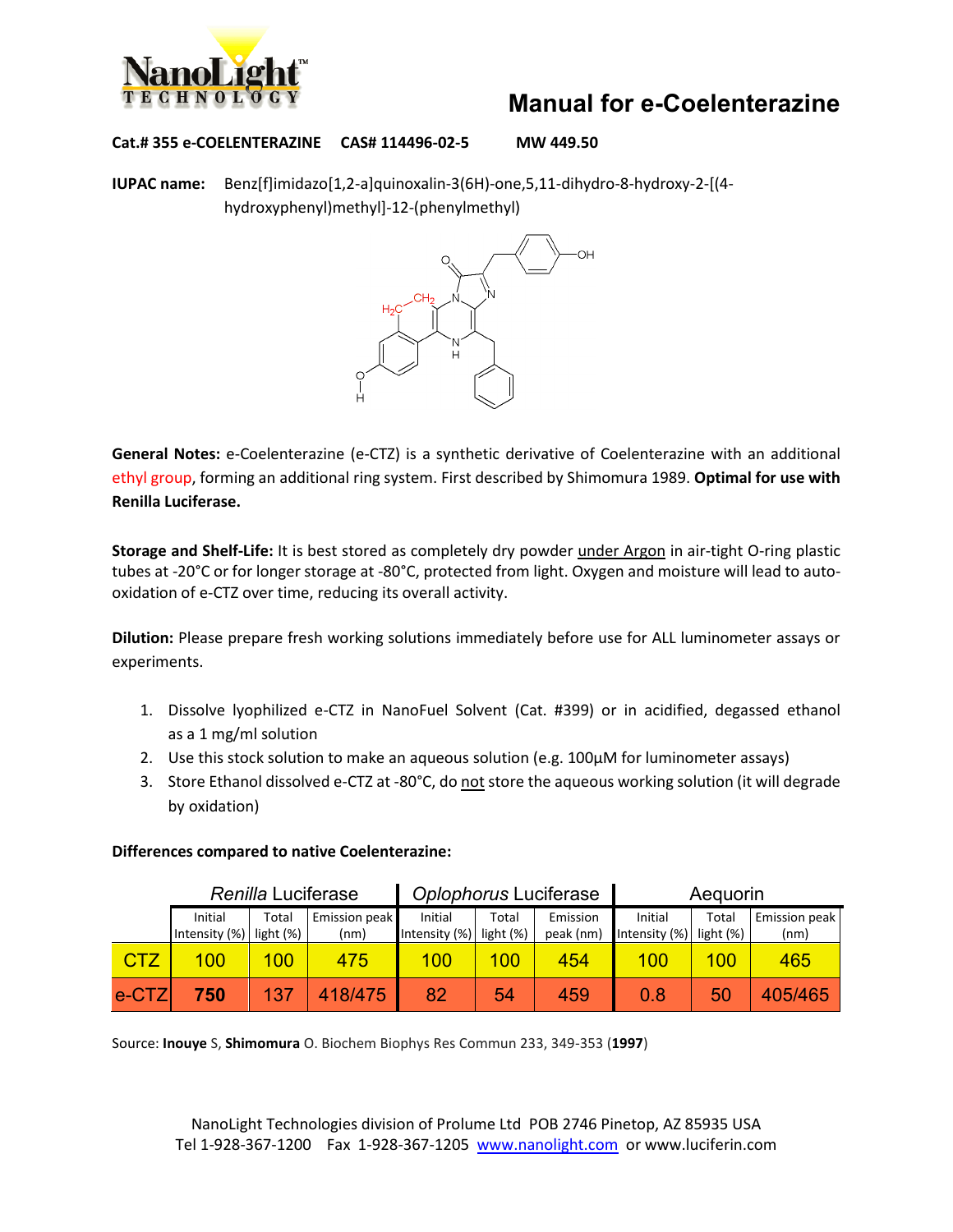

## **Manual for e-Coelenterazine**

**Cat.# 355 e-COELENTERAZINE CAS# 114496-02-5 MW 449.50**

**IUPAC name:** Benz[f]imidazo[1,2-a]quinoxalin-3(6H)-one,5,11-dihydro-8-hydroxy-2-[(4 hydroxyphenyl)methyl]-12-(phenylmethyl)



**General Notes:** e-Coelenterazine (e-CTZ) is a synthetic derivative of Coelenterazine with an additional ethyl group, forming an additional ring system. First described by Shimomura 1989. **Optimal for use with Renilla Luciferase.**

**Storage and Shelf-Life:** It is best stored as completely dry powder under Argon in air-tight O-ring plastic tubes at -20°C or for longer storage at -80°C, protected from light. Oxygen and moisture will lead to autooxidation of e-CTZ over time, reducing its overall activity.

**Dilution:** Please prepare fresh working solutions immediately before use for ALL luminometer assays or experiments.

- 1. Dissolve lyophilized e-CTZ in NanoFuel Solvent (Cat. #399) or in acidified, degassed ethanol as a 1 mg/ml solution
- 2. Use this stock solution to make an aqueous solution (e.g. 100μM for luminometer assays)
- 3. Store Ethanol dissolved e-CTZ at -80°C, do not store the aqueous working solution (it will degrade by oxidation)

|            | Renilla Luciferase |           |               | Oplophorus Luciferase |           |           | Aequorin      |           |               |
|------------|--------------------|-----------|---------------|-----------------------|-----------|-----------|---------------|-----------|---------------|
|            | Initial            | Total     | Emission peak | Initial               | Total     | Emission  | Initial       | Total     | Emission peak |
|            | Intensity (%)      | light (%) | (nm)          | Intensity (%)         | light (%) | peak (nm) | Intensity (%) | light (%) | (nm)          |
| <b>CTZ</b> | 100                | 100       | 475           | 100                   | 100       | 454       | 100           | 100       | 465           |
| e-CTZ      | 750                | 137       | 418/475       | 82                    | 54        | 459       | 0.8           | 50        | 405/465       |

#### **Differences compared to native Coelenterazine:**

Source: **Inouye** S, **Shimomura** O. Biochem Biophys Res Commun 233, 349-353 (**1997**)

NanoLight Technologies division of Prolume Ltd POB 2746 Pinetop, AZ 85935 USA Tel 1-928-367-1200 Fax 1-928-367-1205 [www.nanolight.com](http://www.nanolight.com/) or www.luciferin.com